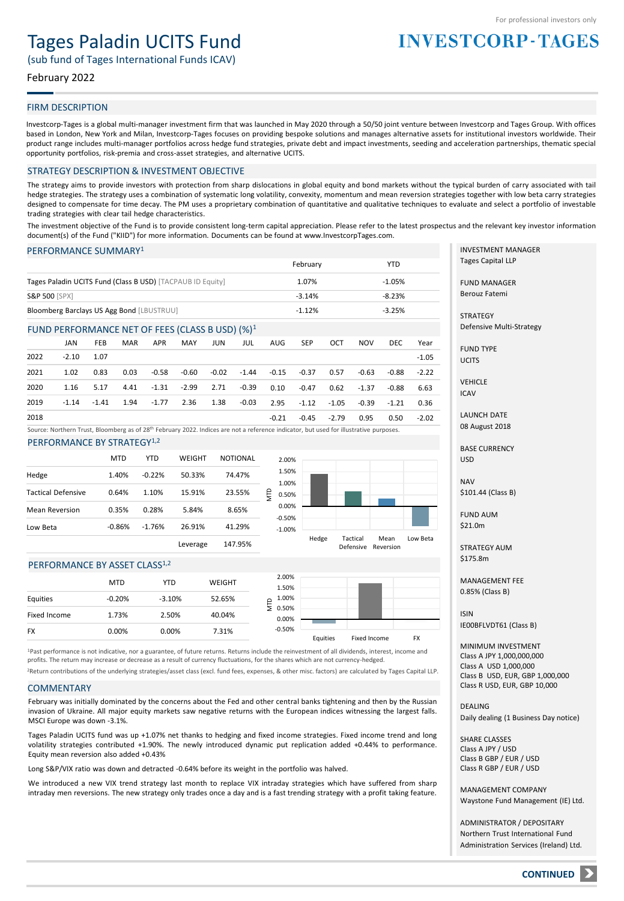# Tages Paladin UCITS Fund

(sub fund of Tages International Funds ICAV)

# February 2022

## FIRM DESCRIPTION

Investcorp-Tages is a global multi-manager investment firm that was launched in May 2020 through a 50/50 joint venture between Investcorp and Tages Group. With offices based in London, New York and Milan, Investcorp-Tages focuses on providing bespoke solutions and manages alternative assets for institutional investors worldwide. Their product range includes multi-manager portfolios across hedge fund strategies, private debt and impact investments, seeding and acceleration partnerships, thematic special opportunity portfolios, risk-premia and cross-asset strategies, and alternative UCITS.

#### STRATEGY DESCRIPTION & INVESTMENT OBJECTIVE

The strategy aims to provide investors with protection from sharp dislocations in global equity and bond markets without the typical burden of carry associated with tail hedge strategies. The strategy uses a combination of systematic long volatility, convexity, momentum and mean reversion strategies together with low beta carry strategies designed to compensate for time decay. The PM uses a proprietary combination of quantitative and qualitative techniques to evaluate and select a portfolio of investable trading strategies with clear tail hedge characteristics.

The investment objective of the Fund is to provide consistent long-term capital appreciation. Please refer to the latest prospectus and the relevant key investor information document(s) of the Fund ("KIID") for more information. Documents can be found at www.InvestcorpTages.com.

### PERFORMANCE SUMMARY<sup>1</sup>

|                                                            | February | YTD      |
|------------------------------------------------------------|----------|----------|
| Tages Paladin UCITS Fund (Class B USD) [TACPAUB ID Equity] | 1.07%    | $-1.05%$ |
| <b>S&amp;P 500 [SPX]</b>                                   | $-3.14%$ | $-8.23%$ |
| Bloomberg Barclays US Agg Bond [LBUSTRUU]                  | $-1.12%$ | $-3.25%$ |

#### FUND PERFORMANCE NET OF FEES (CLASS B USD) (%)<sup>1</sup>

|      | JAN     | FEB     | <b>MAR</b> | <b>APR</b> | MAY     | JUN   | JUL     | AUG   | <b>SEP</b> | OCT     | <b>NOV</b> | DEC.    | Year    |
|------|---------|---------|------------|------------|---------|-------|---------|-------|------------|---------|------------|---------|---------|
| 2022 | $-2.10$ | 1.07    |            |            |         |       |         |       |            |         |            |         | $-1.05$ |
| 2021 | 1.02    | 0.83    | 0.03       | -0.58      | -0.60   | -0.02 | $-1.44$ | -0.15 | -0.37      | 0.57    | $-0.63$    | -0.88   | $-2.22$ |
| 2020 | 1.16    | 5.17    | 4.41       | -1.31      | $-2.99$ | 2.71  | -0.39   | 0.10  | -0.47      | 0.62    | $-1.37$    | $-0.88$ | 6.63    |
| 2019 | $-1.14$ | $-1.41$ | 1.94       | $-1.77$    | 2.36    | 1.38  | $-0.03$ | 2.95  | $-1.12$    | -1.05   | $-0.39$    | -1.21   | 0.36    |
| 2018 |         |         |            |            |         |       |         | -0.21 | -0.45      | $-2.79$ | 0.95       | 0.50    | $-2.02$ |

Source: Northern Trust, Bloomberg as of 28<sup>th</sup> February 2022. Indices are not a reference indicator, but used for illustrative purposes.

PERFORMANCE BY STRATEGY<sup>1,2</sup>

|                           | <b>MTD</b> | YTD      | WEIGHT   | <b>NOTIONAL</b> | $\overline{2}$               |
|---------------------------|------------|----------|----------|-----------------|------------------------------|
| Hedge                     | 1.40%      | $-0.22%$ | 50.33%   | 74.47%          | $\mathbf{1}$<br>$\mathbf{1}$ |
| <b>Tactical Defensive</b> | 0.64%      | 1.10%    | 15.91%   | 23.55%          | D<br>0                       |
| <b>Mean Reversion</b>     | 0.35%      | 0.28%    | 5.84%    | 8.65%           | 0.<br>-0.                    |
| Low Beta                  | $-0.86%$   | $-1.76%$ | 26.91%   | 41.29%          | $-1$                         |
|                           |            |          | Leverage | 147.95%         |                              |



#### PERFORMANCE BY ASSET CLASS<sup>1,2</sup>

|              | <b>MTD</b> | YTD      | WEIGHT | 2.00%<br>1.50%         |          |              |           |
|--------------|------------|----------|--------|------------------------|----------|--------------|-----------|
| Equities     | $-0.20%$   | $-3.10%$ | 52.65% | 1.00%<br>⊢             |          |              |           |
| Fixed Income | 1.73%      | 2.50%    | 40.04% | $\geq 0.50\%$<br>0.00% |          |              |           |
| <b>FX</b>    | 0.00%      | 0.00%    | 7.31%  | $-0.50%$               | Equities | Fixed Income | <b>FX</b> |
|              |            |          |        |                        |          |              |           |

<sup>1</sup>Past performance is not indicative, nor a guarantee, of future returns. Returns include the reinvestment of all dividends, interest, income and profits. The return may increase or decrease as a result of currency fluctuations, for the shares which are not currency-hedged.

<sup>2</sup>Return contributions of the underlying strategies/asset class (excl. fund fees, expenses, & other misc. factors) are calculated by Tages Capital LLP.

# **COMMENTARY**

February was initially dominated by the concerns about the Fed and other central banks tightening and then by the Russian invasion of Ukraine. All major equity markets saw negative returns with the European indices witnessing the largest falls. MSCI Europe was down -3.1%.

Tages Paladin UCITS fund was up +1.07% net thanks to hedging and fixed income strategies. Fixed income trend and long volatility strategies contributed +1.90%. The newly introduced dynamic put replication added +0.44% to performance. Equity mean reversion also added +0.43%

Long S&P/VIX ratio was down and detracted -0.64% before its weight in the portfolio was halved.

We introduced a new VIX trend strategy last month to replace VIX intraday strategies which have suffered from sharp intraday men reversions. The new strategy only trades once a day and is a fast trending strategy with a profit taking feature.

INVESTMENT MANAGER Tages Capital LLP

**INVESTCORP-TAGES** 

FUND MANAGER Berouz Fatemi

**STRATEGY** Defensive Multi-Strategy

FUND TYPE **UCITS** 

VEHICLE ICAV

LAUNCH DATE 08 August 2018

BASE CURRENCY USD

NAV \$101.44 (Class B)

FUND AUM \$21.0m

STRATEGY AUM \$175.8m

MANAGEMENT FEE 0.85% (Class B)

ISIN IE00BFLVDT61 (Class B)

MINIMUM INVESTMENT Class A JPY 1,000,000,000 Class A USD 1,000,000 Class B USD, EUR, GBP 1,000,000 Class R USD, EUR, GBP 10,000

DEALING Daily dealing (1 Business Day notice)

SHARE CLASSES Class A JPY / USD Class B GBP / EUR / USD Class R GBP / EUR / USD

MANAGEMENT COMPANY Waystone Fund Management (IE) Ltd.

ADMINISTRATOR / DEPOSITARY Northern Trust International Fund Administration Services (Ireland) Ltd.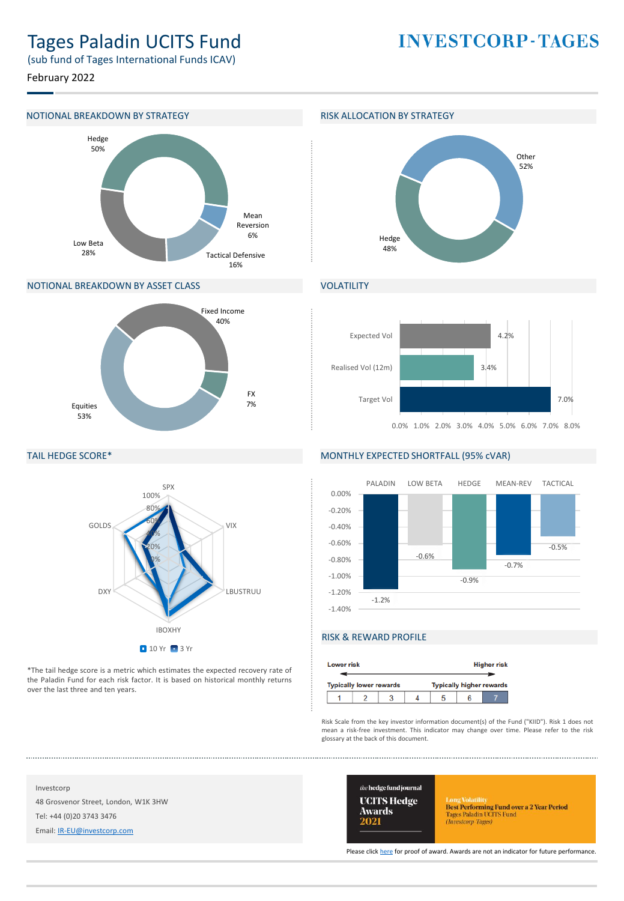# Tages Paladin UCITS Fund

**INVESTCORP-TAGES** 

(sub fund of Tages International Funds ICAV)

February 2022

## NOTIONAL BREAKDOWN BY STRATEGY **RISK ALLOCATION BY STRATEGY**



# NOTIONAL BREAKDOWN BY ASSET CLASS



## TAIL HEDGE SCORE\*



\*The tail hedge score is a metric which estimates the expected recovery rate of the Paladin Fund for each risk factor. It is based on historical monthly returns over the last three and ten years.



# **VOLATILITY**



### MONTHLY EXPECTED SHORTFALL (95% cVAR)



# RISK & REWARD PROFILE

| <b>Lower risk</b> |                                |  | <b>Higher risk</b> |                                 |  |  |  |
|-------------------|--------------------------------|--|--------------------|---------------------------------|--|--|--|
|                   | <b>Typically lower rewards</b> |  |                    | <b>Typically higher rewards</b> |  |  |  |
|                   |                                |  |                    |                                 |  |  |  |

Risk Scale from the key investor information document(s) of the Fund ("KIID"). Risk 1 does not mean a risk-free investment. This indicator may change over time. Please refer to the risk glossary at the back of this document.

Investcorp 48 Grosvenor Street, London, W1K 3HW Tel: +44 (0)20 3743 3476

Email: [IR-EU@investcorp.com](mailto:IR-EU@investcorp.com)



Long Volatilus<br> **Best Performing Fund over a 2 Year Period**<br>
Tages Paladin UCITS Fund<br> *(Investorp-Tages)* 

Please click [here](https://thehedgefundjournal.com/wp-content/uploads/2021/03/UCITS-Hedge-Awards-2021-Winners-List.pdf) for proof of award. Awards are not an indicator for future performance.